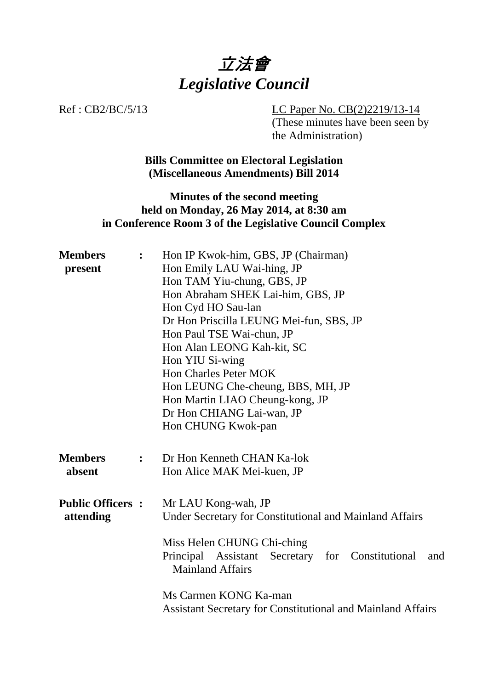

Ref : CB2/BC/5/13 LC Paper No. CB(2)2219/13-14 (These minutes have been seen by the Administration)

> **Bills Committee on Electoral Legislation (Miscellaneous Amendments) Bill 2014**

# **Minutes of the second meeting held on Monday, 26 May 2014, at 8:30 am in Conference Room 3 of the Legislative Council Complex**

| <b>Members</b><br>present | $\ddot{\cdot}$ | Hon IP Kwok-him, GBS, JP (Chairman)<br>Hon Emily LAU Wai-hing, JP                     |
|---------------------------|----------------|---------------------------------------------------------------------------------------|
|                           |                | Hon TAM Yiu-chung, GBS, JP                                                            |
|                           |                | Hon Abraham SHEK Lai-him, GBS, JP                                                     |
|                           |                | Hon Cyd HO Sau-lan                                                                    |
|                           |                | Dr Hon Priscilla LEUNG Mei-fun, SBS, JP                                               |
|                           |                | Hon Paul TSE Wai-chun, JP                                                             |
|                           |                | Hon Alan LEONG Kah-kit, SC                                                            |
|                           |                | Hon YIU Si-wing                                                                       |
|                           |                | <b>Hon Charles Peter MOK</b>                                                          |
|                           |                | Hon LEUNG Che-cheung, BBS, MH, JP                                                     |
|                           |                | Hon Martin LIAO Cheung-kong, JP                                                       |
|                           |                | Dr Hon CHIANG Lai-wan, JP                                                             |
|                           |                | Hon CHUNG Kwok-pan                                                                    |
| <b>Members</b>            | $\ddot{\cdot}$ | Dr Hon Kenneth CHAN Ka-lok                                                            |
| absent                    |                | Hon Alice MAK Mei-kuen, JP                                                            |
| <b>Public Officers:</b>   |                | Mr LAU Kong-wah, JP                                                                   |
| attending                 |                | Under Secretary for Constitutional and Mainland Affairs                               |
|                           |                | Miss Helen CHUNG Chi-ching                                                            |
|                           |                | Secretary for Constitutional<br>Principal Assistant<br>and<br><b>Mainland Affairs</b> |
|                           |                | Ms Carmen KONG Ka-man<br>Assistant Secretary for Constitutional and Mainland Affairs  |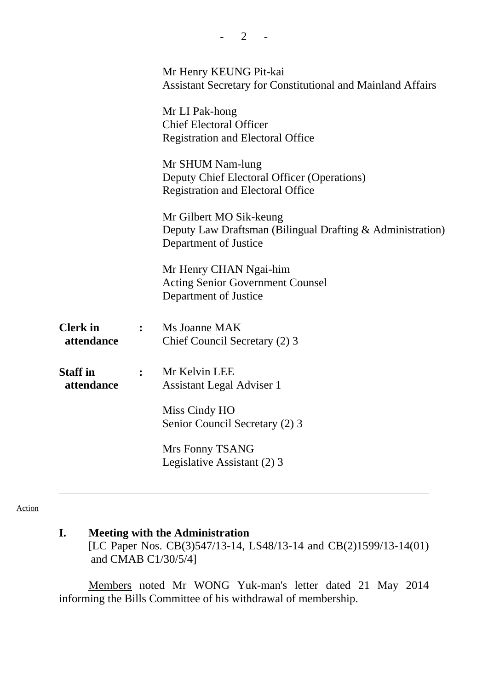|                               |              | Mr Henry KEUNG Pit-kai<br><b>Assistant Secretary for Constitutional and Mainland Affairs</b>                   |
|-------------------------------|--------------|----------------------------------------------------------------------------------------------------------------|
|                               |              | Mr LI Pak-hong<br><b>Chief Electoral Officer</b><br><b>Registration and Electoral Office</b>                   |
|                               |              | Mr SHUM Nam-lung<br>Deputy Chief Electoral Officer (Operations)<br><b>Registration and Electoral Office</b>    |
|                               |              | Mr Gilbert MO Sik-keung<br>Deputy Law Draftsman (Bilingual Drafting & Administration)<br>Department of Justice |
|                               |              | Mr Henry CHAN Ngai-him<br><b>Acting Senior Government Counsel</b><br>Department of Justice                     |
| <b>Clerk</b> in<br>attendance | $\mathbf{L}$ | Ms Joanne MAK<br>Chief Council Secretary (2) 3                                                                 |
| <b>Staff</b> in<br>attendance | $\mathbf{L}$ | Mr Kelvin LEE<br><b>Assistant Legal Adviser 1</b>                                                              |
|                               |              | Miss Cindy HO<br>Senior Council Secretary (2) 3                                                                |
|                               |              | Mrs Fonny TSANG<br>Legislative Assistant (2) 3                                                                 |
|                               |              |                                                                                                                |

#### Action

# **I. Meeting with the Administration**

 [LC Paper Nos. CB(3)547/13-14, LS48/13-14 and CB(2)1599/13-14(01) and CMAB C1/30/5/4]

Members noted Mr WONG Yuk-man's letter dated 21 May 2014 informing the Bills Committee of his withdrawal of membership.

 $2 -$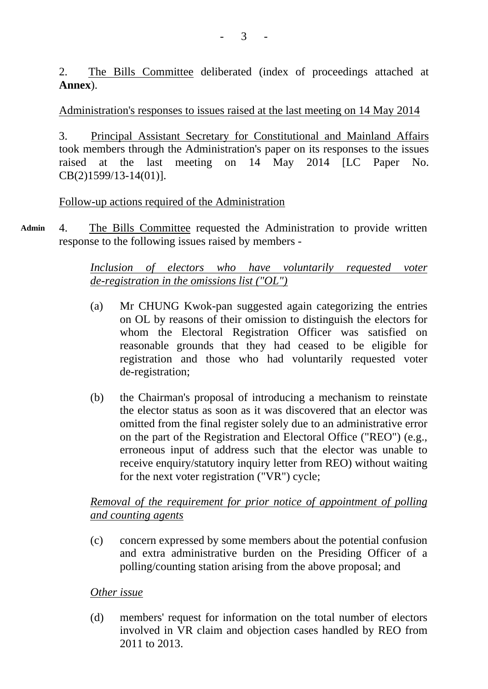2. The Bills Committee deliberated (index of proceedings attached at **Annex**).

Administration's responses to issues raised at the last meeting on 14 May 2014

3. Principal Assistant Secretary for Constitutional and Mainland Affairs took members through the Administration's paper on its responses to the issues raised at the last meeting on 14 May 2014 [LC Paper No. CB(2)1599/13-14(01)].

### Follow-up actions required of the Administration

**Admin**  4. The Bills Committee requested the Administration to provide written response to the following issues raised by members -

> *Inclusion of electors who have voluntarily requested voter de-registration in the omissions list ("OL")*

- (a) Mr CHUNG Kwok-pan suggested again categorizing the entries on OL by reasons of their omission to distinguish the electors for whom the Electoral Registration Officer was satisfied on reasonable grounds that they had ceased to be eligible for registration and those who had voluntarily requested voter de-registration;
- (b) the Chairman's proposal of introducing a mechanism to reinstate the elector status as soon as it was discovered that an elector was omitted from the final register solely due to an administrative error on the part of the Registration and Electoral Office ("REO") (e.g., erroneous input of address such that the elector was unable to receive enquiry/statutory inquiry letter from REO) without waiting for the next voter registration ("VR") cycle;

## *Removal of the requirement for prior notice of appointment of polling and counting agents*

(c) concern expressed by some members about the potential confusion and extra administrative burden on the Presiding Officer of a polling/counting station arising from the above proposal; and

#### *Other issue*

(d) members' request for information on the total number of electors involved in VR claim and objection cases handled by REO from 2011 to 2013.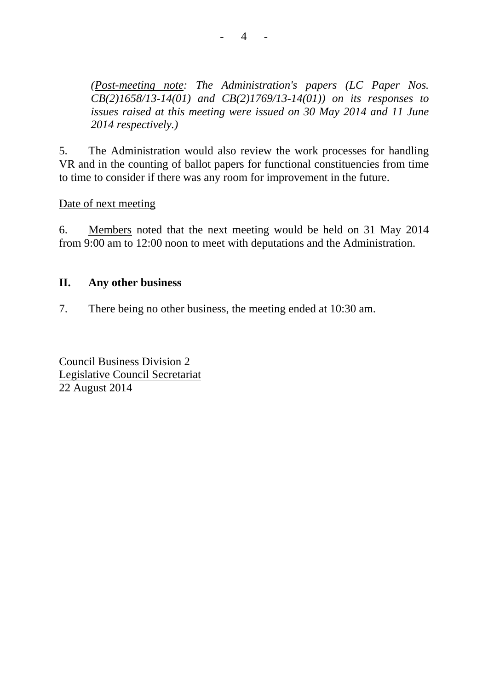*(Post-meeting note: The Administration's papers (LC Paper Nos. CB(2)1658/13-14(01) and CB(2)1769/13-14(01)) on its responses to issues raised at this meeting were issued on 30 May 2014 and 11 June 2014 respectively.)* 

5. The Administration would also review the work processes for handling VR and in the counting of ballot papers for functional constituencies from time to time to consider if there was any room for improvement in the future.

Date of next meeting

6. Members noted that the next meeting would be held on 31 May 2014 from 9:00 am to 12:00 noon to meet with deputations and the Administration.

### **II. Any other business**

7. There being no other business, the meeting ended at 10:30 am.

Council Business Division 2 Legislative Council Secretariat 22 August 2014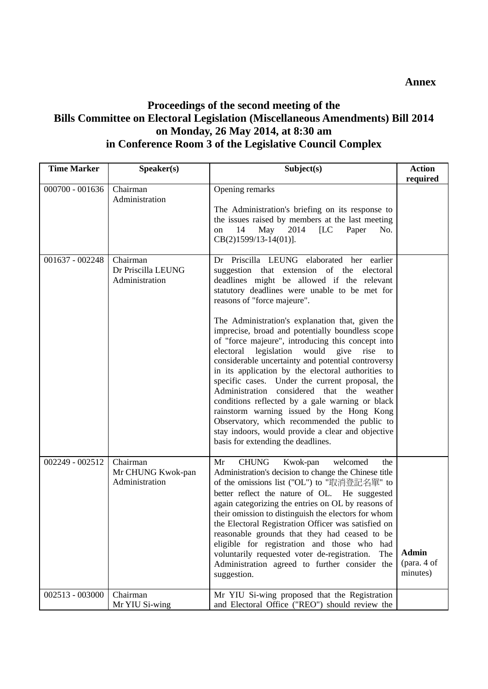# **Proceedings of the second meeting of the Bills Committee on Electoral Legislation (Miscellaneous Amendments) Bill 2014 on Monday, 26 May 2014, at 8:30 am in Conference Room 3 of the Legislative Council Complex**

| <b>Time Marker</b> | Speaker(s)                                       | Subject(s)                                                                                                                                                                                                                                                                                                                                                                                                                                                                                                                                                                                                                                                 | <b>Action</b><br>required               |
|--------------------|--------------------------------------------------|------------------------------------------------------------------------------------------------------------------------------------------------------------------------------------------------------------------------------------------------------------------------------------------------------------------------------------------------------------------------------------------------------------------------------------------------------------------------------------------------------------------------------------------------------------------------------------------------------------------------------------------------------------|-----------------------------------------|
| $000700 - 001636$  | Chairman<br>Administration                       | Opening remarks<br>The Administration's briefing on its response to<br>the issues raised by members at the last meeting<br>14<br>2014<br>[LC]<br>May<br>Paper<br>No.<br>on<br>$CB(2)1599/13-14(01)$ ].                                                                                                                                                                                                                                                                                                                                                                                                                                                     |                                         |
| 001637 - 002248    | Chairman<br>Dr Priscilla LEUNG<br>Administration | Priscilla LEUNG elaborated her earlier<br>Dr<br>suggestion that extension of the electoral<br>deadlines might be allowed if the relevant<br>statutory deadlines were unable to be met for<br>reasons of "force majeure".<br>The Administration's explanation that, given the<br>imprecise, broad and potentially boundless scope<br>of "force majeure", introducing this concept into<br>electoral<br>legislation would<br>give<br>rise<br>to<br>considerable uncertainty and potential controversy<br>in its application by the electoral authorities to<br>specific cases. Under the current proposal, the<br>Administration considered that the weather |                                         |
|                    |                                                  | conditions reflected by a gale warning or black<br>rainstorm warning issued by the Hong Kong<br>Observatory, which recommended the public to<br>stay indoors, would provide a clear and objective<br>basis for extending the deadlines.                                                                                                                                                                                                                                                                                                                                                                                                                    |                                         |
| 002249 - 002512    | Chairman<br>Mr CHUNG Kwok-pan<br>Administration  | Kwok-pan<br><b>CHUNG</b><br>welcomed<br>Mr<br>the<br>Administration's decision to change the Chinese title<br>of the omissions list ("OL") to "取消登記名單" to<br>better reflect the nature of OL. He suggested<br>again categorizing the entries on OL by reasons of<br>their omission to distinguish the electors for whom<br>the Electoral Registration Officer was satisfied on<br>reasonable grounds that they had ceased to be<br>eligible for registration and those who had<br>voluntarily requested voter de-registration.<br>The<br>Administration agreed to further consider the<br>suggestion.                                                      | <b>Admin</b><br>(para. 4 of<br>minutes) |
| 002513 - 003000    | Chairman<br>Mr YIU Si-wing                       | Mr YIU Si-wing proposed that the Registration<br>and Electoral Office ("REO") should review the                                                                                                                                                                                                                                                                                                                                                                                                                                                                                                                                                            |                                         |

**Annex**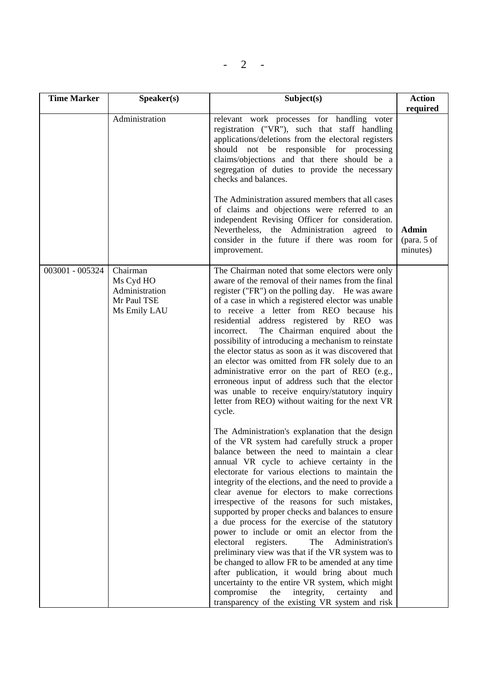| <b>Time Marker</b> | Speaker(s)                                                             | Subject(s)                                                                                                                                                                                                                                                                                                                                                                                                                                                                                                                                                                                                                                                                                                                                                                                                                                                                                                                                                                                                                                                                                                                                                                                                                                                                                                                                                                                                                                                                                                                                                                                                                                                                                                   | <b>Action</b><br>required                   |
|--------------------|------------------------------------------------------------------------|--------------------------------------------------------------------------------------------------------------------------------------------------------------------------------------------------------------------------------------------------------------------------------------------------------------------------------------------------------------------------------------------------------------------------------------------------------------------------------------------------------------------------------------------------------------------------------------------------------------------------------------------------------------------------------------------------------------------------------------------------------------------------------------------------------------------------------------------------------------------------------------------------------------------------------------------------------------------------------------------------------------------------------------------------------------------------------------------------------------------------------------------------------------------------------------------------------------------------------------------------------------------------------------------------------------------------------------------------------------------------------------------------------------------------------------------------------------------------------------------------------------------------------------------------------------------------------------------------------------------------------------------------------------------------------------------------------------|---------------------------------------------|
|                    | Administration                                                         | relevant work processes for handling voter<br>registration ("VR"), such that staff handling<br>applications/deletions from the electoral registers<br>should not be responsible for processing<br>claims/objections and that there should be a<br>segregation of duties to provide the necessary<br>checks and balances.                                                                                                                                                                                                                                                                                                                                                                                                                                                                                                                                                                                                                                                                                                                                                                                                                                                                                                                                                                                                                                                                                                                                                                                                                                                                                                                                                                                     |                                             |
|                    |                                                                        | The Administration assured members that all cases<br>of claims and objections were referred to an<br>independent Revising Officer for consideration.<br>Nevertheless, the Administration agreed to<br>consider in the future if there was room for<br>improvement.                                                                                                                                                                                                                                                                                                                                                                                                                                                                                                                                                                                                                                                                                                                                                                                                                                                                                                                                                                                                                                                                                                                                                                                                                                                                                                                                                                                                                                           | <b>Admin</b><br>$1$ (para. 5 of<br>minutes) |
| 003001 - 005324    | Chairman<br>Ms Cyd HO<br>Administration<br>Mr Paul TSE<br>Ms Emily LAU | The Chairman noted that some electors were only<br>aware of the removal of their names from the final<br>register ("FR") on the polling day. He was aware<br>of a case in which a registered elector was unable<br>to receive a letter from REO because his<br>residential address registered by REO was<br>The Chairman enquired about the<br>incorrect.<br>possibility of introducing a mechanism to reinstate<br>the elector status as soon as it was discovered that<br>an elector was omitted from FR solely due to an<br>administrative error on the part of REO (e.g.,<br>erroneous input of address such that the elector<br>was unable to receive enquiry/statutory inquiry<br>letter from REO) without waiting for the next VR<br>cycle.<br>The Administration's explanation that the design<br>of the VR system had carefully struck a proper<br>balance between the need to maintain a clear<br>annual VR cycle to achieve certainty in the<br>electorate for various elections to maintain the<br>integrity of the elections, and the need to provide a<br>clear avenue for electors to make corrections<br>irrespective of the reasons for such mistakes,<br>supported by proper checks and balances to ensure<br>a due process for the exercise of the statutory<br>power to include or omit an elector from the<br>electoral<br>The<br>registers.<br>Administration's<br>preliminary view was that if the VR system was to<br>be changed to allow FR to be amended at any time<br>after publication, it would bring about much<br>uncertainty to the entire VR system, which might<br>compromise<br>the<br>integrity,<br>certainty<br>and<br>transparency of the existing VR system and risk |                                             |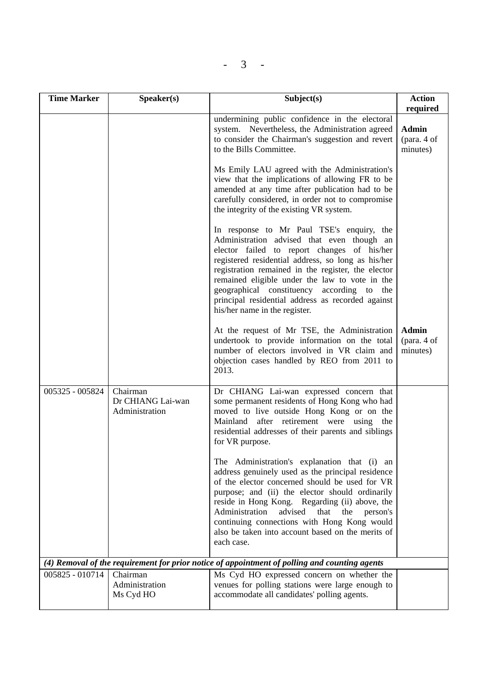| × |
|---|
|---|

| <b>Time Marker</b> | Speaker(s)                                      | Subject(s)                                                                                                                                                                                                                                                                                                                                                                                                                               | <b>Action</b><br>required               |
|--------------------|-------------------------------------------------|------------------------------------------------------------------------------------------------------------------------------------------------------------------------------------------------------------------------------------------------------------------------------------------------------------------------------------------------------------------------------------------------------------------------------------------|-----------------------------------------|
|                    |                                                 | undermining public confidence in the electoral<br>system. Nevertheless, the Administration agreed<br>to consider the Chairman's suggestion and revert<br>to the Bills Committee.                                                                                                                                                                                                                                                         | <b>Admin</b><br>(para. 4 of<br>minutes) |
|                    |                                                 | Ms Emily LAU agreed with the Administration's<br>view that the implications of allowing FR to be<br>amended at any time after publication had to be<br>carefully considered, in order not to compromise<br>the integrity of the existing VR system.                                                                                                                                                                                      |                                         |
|                    |                                                 | In response to Mr Paul TSE's enquiry, the<br>Administration advised that even though an<br>elector failed to report changes of his/her<br>registered residential address, so long as his/her<br>registration remained in the register, the elector<br>remained eligible under the law to vote in the<br>geographical constituency according to the<br>principal residential address as recorded against<br>his/her name in the register. |                                         |
|                    |                                                 | At the request of Mr TSE, the Administration<br>undertook to provide information on the total<br>number of electors involved in VR claim and<br>objection cases handled by REO from 2011 to<br>2013.                                                                                                                                                                                                                                     | <b>Admin</b><br>(para. 4 of<br>minutes) |
| 005325 - 005824    | Chairman<br>Dr CHIANG Lai-wan<br>Administration | Dr CHIANG Lai-wan expressed concern that<br>some permanent residents of Hong Kong who had<br>moved to live outside Hong Kong or on the<br>Mainland after retirement were using<br>the<br>residential addresses of their parents and siblings<br>for VR purpose.                                                                                                                                                                          |                                         |
|                    |                                                 | The Administration's explanation that (i) an<br>address genuinely used as the principal residence<br>of the elector concerned should be used for VR<br>purpose; and (ii) the elector should ordinarily<br>reside in Hong Kong. Regarding (ii) above, the<br>Administration<br>advised<br>that<br>the<br>person's<br>continuing connections with Hong Kong would<br>also be taken into account based on the merits of<br>each case.       |                                         |
|                    |                                                 | (4) Removal of the requirement for prior notice of appointment of polling and counting agents                                                                                                                                                                                                                                                                                                                                            |                                         |
| 005825 - 010714    | Chairman<br>Administration<br>Ms Cyd HO         | Ms Cyd HO expressed concern on whether the<br>venues for polling stations were large enough to<br>accommodate all candidates' polling agents.                                                                                                                                                                                                                                                                                            |                                         |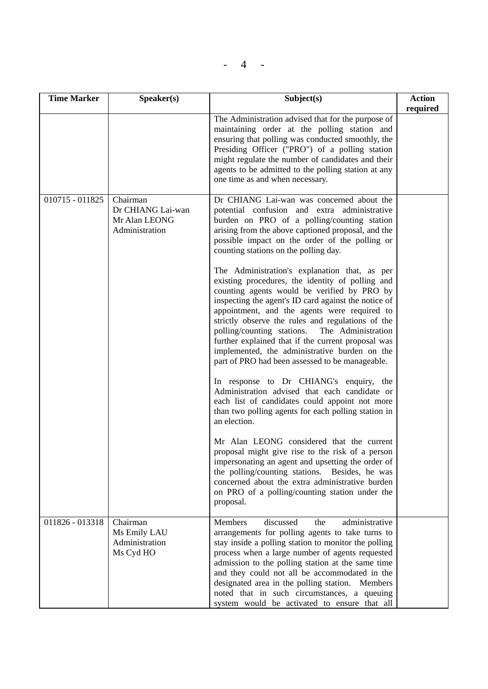|  | $\Delta$ |  |  |  |
|--|----------|--|--|--|
|--|----------|--|--|--|

| <b>Time Marker</b> | Speaker(s)                                                       | Subject(s)                                                                                                                                                                                                                                                                                                                                                                                                                                                                                                               | <b>Action</b><br>required |
|--------------------|------------------------------------------------------------------|--------------------------------------------------------------------------------------------------------------------------------------------------------------------------------------------------------------------------------------------------------------------------------------------------------------------------------------------------------------------------------------------------------------------------------------------------------------------------------------------------------------------------|---------------------------|
|                    |                                                                  | The Administration advised that for the purpose of<br>maintaining order at the polling station and<br>ensuring that polling was conducted smoothly, the<br>Presiding Officer ("PRO") of a polling station<br>might regulate the number of candidates and their<br>agents to be admitted to the polling station at any<br>one time as and when necessary.                                                                                                                                                                 |                           |
| 010715 - 011825    | Chairman<br>Dr CHIANG Lai-wan<br>Mr Alan LEONG<br>Administration | Dr CHIANG Lai-wan was concerned about the<br>potential confusion and extra administrative<br>burden on PRO of a polling/counting station<br>arising from the above captioned proposal, and the<br>possible impact on the order of the polling or<br>counting stations on the polling day.                                                                                                                                                                                                                                |                           |
|                    |                                                                  | The Administration's explanation that, as per<br>existing procedures, the identity of polling and<br>counting agents would be verified by PRO by<br>inspecting the agent's ID card against the notice of<br>appointment, and the agents were required to<br>strictly observe the rules and regulations of the<br>polling/counting stations. The Administration<br>further explained that if the current proposal was<br>implemented, the administrative burden on the<br>part of PRO had been assessed to be manageable. |                           |
|                    |                                                                  | In response to Dr CHIANG's enquiry, the<br>Administration advised that each candidate or<br>each list of candidates could appoint not more<br>than two polling agents for each polling station in<br>an election.                                                                                                                                                                                                                                                                                                        |                           |
|                    |                                                                  | Mr Alan LEONG considered that the current<br>proposal might give rise to the risk of a person<br>impersonating an agent and upsetting the order of<br>the polling/counting stations. Besides, he was<br>concerned about the extra administrative burden<br>on PRO of a polling/counting station under the<br>proposal.                                                                                                                                                                                                   |                           |
| 011826 - 013318    | Chairman<br>Ms Emily LAU<br>Administration<br>Ms Cyd HO          | discussed<br>administrative<br><b>Members</b><br>the<br>arrangements for polling agents to take turns to<br>stay inside a polling station to monitor the polling<br>process when a large number of agents requested<br>admission to the polling station at the same time<br>and they could not all be accommodated in the<br>designated area in the polling station. Members<br>noted that in such circumstances, a queuing<br>system would be activated to ensure that all                                              |                           |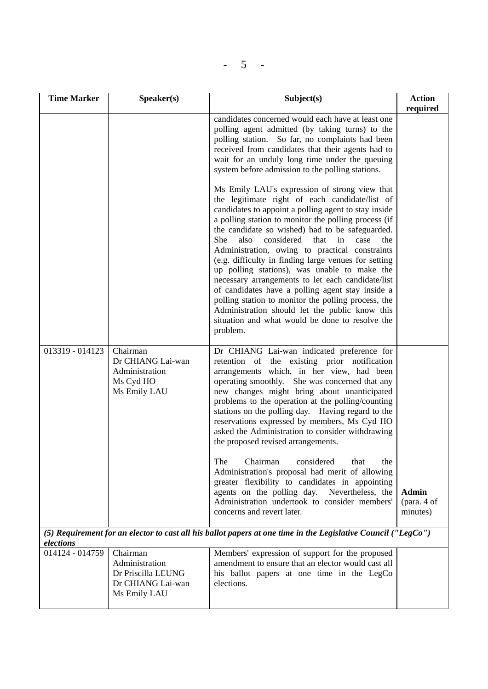| v |  |
|---|--|
|   |  |

| <b>Time Marker</b>                                                                                                         | Speaker(s)                                                                            | Subject(s)                                                                                                                                                                                                                                                                                                                                                                                                                                                                                                                                                                                                                                                                                                                                                                                                                                                                                                         | <b>Action</b><br>required               |
|----------------------------------------------------------------------------------------------------------------------------|---------------------------------------------------------------------------------------|--------------------------------------------------------------------------------------------------------------------------------------------------------------------------------------------------------------------------------------------------------------------------------------------------------------------------------------------------------------------------------------------------------------------------------------------------------------------------------------------------------------------------------------------------------------------------------------------------------------------------------------------------------------------------------------------------------------------------------------------------------------------------------------------------------------------------------------------------------------------------------------------------------------------|-----------------------------------------|
|                                                                                                                            |                                                                                       | candidates concerned would each have at least one<br>polling agent admitted (by taking turns) to the<br>polling station. So far, no complaints had been<br>received from candidates that their agents had to<br>wait for an unduly long time under the queuing<br>system before admission to the polling stations.<br>Ms Emily LAU's expression of strong view that<br>the legitimate right of each candidate/list of<br>candidates to appoint a polling agent to stay inside<br>a polling station to monitor the polling process (if<br>the candidate so wished) had to be safeguarded.<br>She<br>also<br>considered<br>that in<br>case<br>the<br>Administration, owing to practical constraints<br>(e.g. difficulty in finding large venues for setting<br>up polling stations), was unable to make the<br>necessary arrangements to let each candidate/list<br>of candidates have a polling agent stay inside a |                                         |
|                                                                                                                            |                                                                                       | polling station to monitor the polling process, the<br>Administration should let the public know this<br>situation and what would be done to resolve the<br>problem.                                                                                                                                                                                                                                                                                                                                                                                                                                                                                                                                                                                                                                                                                                                                               |                                         |
| 013319 - 014123                                                                                                            | Chairman<br>Dr CHIANG Lai-wan<br>Administration<br>Ms Cyd HO<br>Ms Emily LAU          | Dr CHIANG Lai-wan indicated preference for<br>retention of the existing prior notification<br>arrangements which, in her view, had been<br>operating smoothly. She was concerned that any<br>new changes might bring about unanticipated<br>problems to the operation at the polling/counting<br>stations on the polling day. Having regard to the<br>reservations expressed by members, Ms Cyd HO<br>asked the Administration to consider withdrawing<br>the proposed revised arrangements.                                                                                                                                                                                                                                                                                                                                                                                                                       |                                         |
|                                                                                                                            |                                                                                       | Chairman<br>considered<br>The<br>that<br>the<br>Administration's proposal had merit of allowing<br>greater flexibility to candidates in appointing<br>agents on the polling day.<br>Nevertheless, the<br>Administration undertook to consider members'<br>concerns and revert later.                                                                                                                                                                                                                                                                                                                                                                                                                                                                                                                                                                                                                               | <b>Admin</b><br>(para. 4 of<br>minutes) |
| (5) Requirement for an elector to cast all his ballot papers at one time in the Legislative Council ("LegCo")<br>elections |                                                                                       |                                                                                                                                                                                                                                                                                                                                                                                                                                                                                                                                                                                                                                                                                                                                                                                                                                                                                                                    |                                         |
| 014124 - 014759                                                                                                            | Chairman<br>Administration<br>Dr Priscilla LEUNG<br>Dr CHIANG Lai-wan<br>Ms Emily LAU | Members' expression of support for the proposed<br>amendment to ensure that an elector would cast all<br>his ballot papers at one time in the LegCo<br>elections.                                                                                                                                                                                                                                                                                                                                                                                                                                                                                                                                                                                                                                                                                                                                                  |                                         |